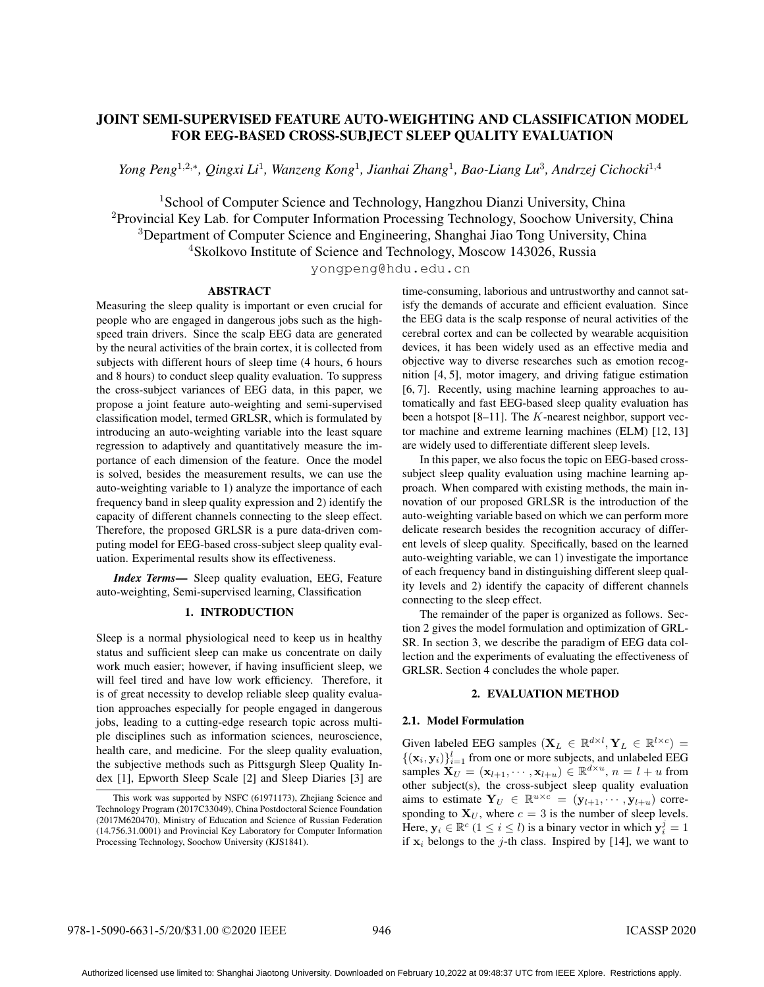# JOINT SEMI-SUPERVISED FEATURE AUTO-WEIGHTING AND CLASSIFICATION MODEL FOR EEG-BASED CROSS-SUBJECT SLEEP QUALITY EVALUATION

*Yong Peng*<sup>1</sup>*,*2*,<sup>∗</sup> , Qingxi Li*<sup>1</sup> *, Wanzeng Kong*<sup>1</sup> *, Jianhai Zhang*<sup>1</sup> *, Bao-Liang Lu*<sup>3</sup> *, Andrzej Cichocki*<sup>1</sup>*,*<sup>4</sup>

<sup>1</sup>School of Computer Science and Technology, Hangzhou Dianzi University, China <sup>2</sup>Provincial Key Lab. for Computer Information Processing Technology, Soochow University, China <sup>3</sup>Department of Computer Science and Engineering, Shanghai Jiao Tong University, China <sup>4</sup>Skolkovo Institute of Science and Technology, Moscow 143026, Russia

yongpeng@hdu.edu.cn

### ABSTRACT

Measuring the sleep quality is important or even crucial for people who are engaged in dangerous jobs such as the highspeed train drivers. Since the scalp EEG data are generated by the neural activities of the brain cortex, it is collected from subjects with different hours of sleep time (4 hours, 6 hours and 8 hours) to conduct sleep quality evaluation. To suppress the cross-subject variances of EEG data, in this paper, we propose a joint feature auto-weighting and semi-supervised classification model, termed GRLSR, which is formulated by introducing an auto-weighting variable into the least square regression to adaptively and quantitatively measure the importance of each dimension of the feature. Once the model is solved, besides the measurement results, we can use the auto-weighting variable to 1) analyze the importance of each frequency band in sleep quality expression and 2) identify the capacity of different channels connecting to the sleep effect. Therefore, the proposed GRLSR is a pure data-driven computing model for EEG-based cross-subject sleep quality evaluation. Experimental results show its effectiveness.

*Index Terms*— Sleep quality evaluation, EEG, Feature auto-weighting, Semi-supervised learning, Classification

## 1. INTRODUCTION

Sleep is a normal physiological need to keep us in healthy status and sufficient sleep can make us concentrate on daily work much easier; however, if having insufficient sleep, we will feel tired and have low work efficiency. Therefore, it is of great necessity to develop reliable sleep quality evaluation approaches especially for people engaged in dangerous jobs, leading to a cutting-edge research topic across multiple disciplines such as information sciences, neuroscience, health care, and medicine. For the sleep quality evaluation, the subjective methods such as Pittsgurgh Sleep Quality Index [1], Epworth Sleep Scale [2] and Sleep Diaries [3] are

time-consuming, laborious and untrustworthy and cannot satisfy the demands of accurate and efficient evaluation. Since the EEG data is the scalp response of neural activities of the cerebral cortex and can be collected by wearable acquisition devices, it has been widely used as an effective media and objective way to diverse researches such as emotion recognition [4, 5], motor imagery, and driving fatigue estimation [6, 7]. Recently, using machine learning approaches to automatically and fast EEG-based sleep quality evaluation has been a hotspot [8–11]. The *K*-nearest neighbor, support vector machine and extreme learning machines (ELM) [12, 13] are widely used to differentiate different sleep levels.

In this paper, we also focus the topic on EEG-based crosssubject sleep quality evaluation using machine learning approach. When compared with existing methods, the main innovation of our proposed GRLSR is the introduction of the auto-weighting variable based on which we can perform more delicate research besides the recognition accuracy of different levels of sleep quality. Specifically, based on the learned auto-weighting variable, we can 1) investigate the importance of each frequency band in distinguishing different sleep quality levels and 2) identify the capacity of different channels connecting to the sleep effect.

The remainder of the paper is organized as follows. Section 2 gives the model formulation and optimization of GRL-SR. In section 3, we describe the paradigm of EEG data collection and the experiments of evaluating the effectiveness of GRLSR. Section 4 concludes the whole paper.

# 2. EVALUATION METHOD

# 2.1. Model Formulation

Given labeled EEG samples  $(X_L \in \mathbb{R}^{d \times l}, Y_L \in \mathbb{R}^{l \times c}) =$  $\{(\mathbf{x}_i, \mathbf{y}_i)\}_{i=1}^l$  from one or more subjects, and unlabeled EEG samples  $\mathbf{X}_U = (\mathbf{x}_{l+1}, \dots, \mathbf{x}_{l+u}) \in \mathbb{R}^{d \times u}$ ,  $n = l + u$  from other subject(s), the cross-subject sleep quality evaluation aims to estimate  $Y_U \in \mathbb{R}^{u \times c} = (y_{l+1}, \dots, y_{l+u})$  corresponding to  $X_U$ , where  $c = 3$  is the number of sleep levels. Here,  $\mathbf{y}_i \in \mathbb{R}^c$   $(1 \leq i \leq l)$  is a binary vector in which  $\mathbf{y}_i^j = 1$ if  $x_i$  belongs to the *j*-th class. Inspired by [14], we want to

This work was supported by NSFC (61971173), Zhejiang Science and Technology Program (2017C33049), China Postdoctoral Science Foundation (2017M620470), Ministry of Education and Science of Russian Federation (14.756.31.0001) and Provincial Key Laboratory for Computer Information Processing Technology, Soochow University (KJS1841).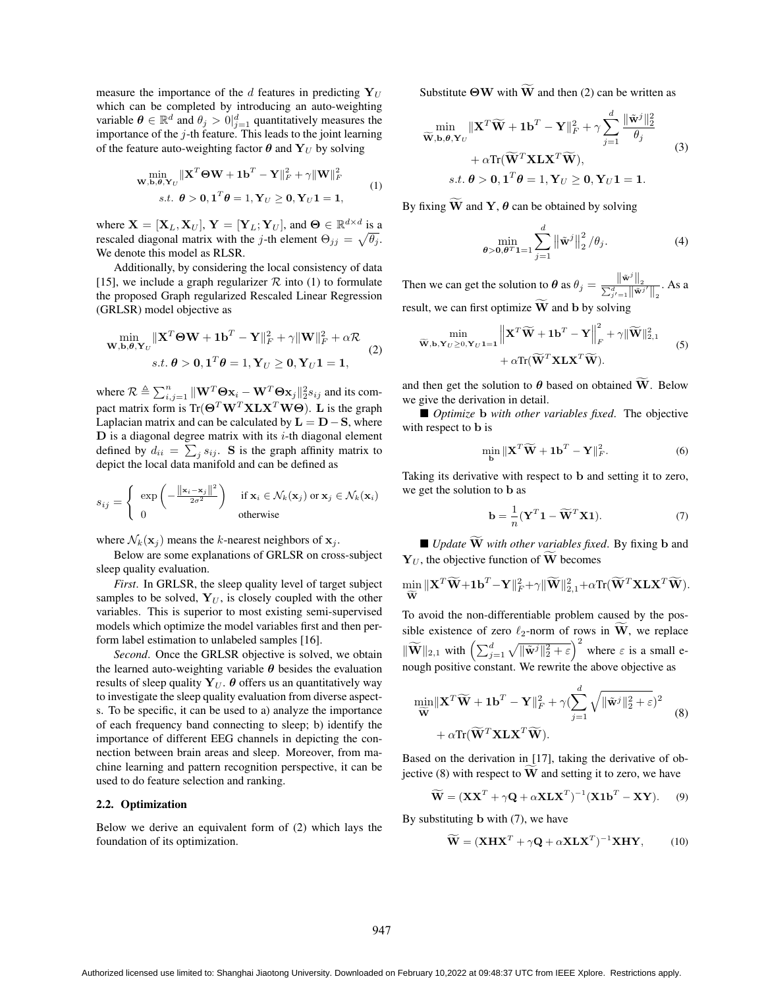measure the importance of the *d* features in predicting  $Y_U$ which can be completed by introducing an auto-weighting variable  $\theta \in \mathbb{R}^d$  and  $\theta_j > 0$  $\big|_{j=1}^d$  quantitatively measures the importance of the *j*-th feature. This leads to the joint learning of the feature auto-weighting factor  $\theta$  and  $\mathbf{Y}_U$  by solving

$$
\min_{\mathbf{W}, \mathbf{b}, \boldsymbol{\theta}, \mathbf{Y}_U} \|\mathbf{X}^T \boldsymbol{\Theta} \mathbf{W} + \mathbf{1} \mathbf{b}^T - \mathbf{Y}\|_F^2 + \gamma \|\mathbf{W}\|_F^2
$$
\n
$$
s.t. \ \boldsymbol{\theta} > \mathbf{0}, \mathbf{1}^T \boldsymbol{\theta} = 1, \mathbf{Y}_U \ge \mathbf{0}, \mathbf{Y}_U \mathbf{1} = \mathbf{1}, \tag{1}
$$

where  $\mathbf{X} = [\mathbf{X}_L, \mathbf{X}_U], \mathbf{Y} = [\mathbf{Y}_L; \mathbf{Y}_U],$  and  $\mathbf{\Theta} \in \mathbb{R}^{d \times d}$  is a rescaled diagonal matrix with the *j*-th element  $\Theta_{jj} = \sqrt{\theta_j}$ . We denote this model as RLSR.

Additionally, by considering the local consistency of data [15], we include a graph regularizer  $R$  into (1) to formulate the proposed Graph regularized Rescaled Linear Regression (GRLSR) model objective as

$$
\min_{\mathbf{W}, \mathbf{b}, \boldsymbol{\theta}, \mathbf{Y}_U} \|\mathbf{X}^T \boldsymbol{\Theta} \mathbf{W} + \mathbf{1} \mathbf{b}^T - \mathbf{Y}\|_F^2 + \gamma \|\mathbf{W}\|_F^2 + \alpha \mathcal{R}
$$
  
s.t.  $\boldsymbol{\theta} > 0, \mathbf{1}^T \boldsymbol{\theta} = 1, \mathbf{Y}_U \ge 0, \mathbf{Y}_U \mathbf{1} = \mathbf{1},$  (2)

where  $\mathcal{R} \triangleq \sum_{i,j=1}^{n} ||\mathbf{W}^T \mathbf{\Theta} \mathbf{x}_i - \mathbf{W}^T \mathbf{\Theta} \mathbf{x}_j ||_2^2 s_{ij}$  and its compact matrix form is  $Tr(\mathbf{\Theta}^T \mathbf{W}^T \mathbf{X} \mathbf{L} \mathbf{X}^T \mathbf{W} \mathbf{\Theta})$ . **L** is the graph Laplacian matrix and can be calculated by  $L = D - S$ , where **D** is a diagonal degree matrix with its *i*-th diagonal element defined by  $d_{ii} = \sum_j s_{ij}$ . S is the graph affinity matrix to depict the local data manifold and can be defined as

$$
s_{ij} = \begin{cases} \exp\left(-\frac{\|\mathbf{x}_i - \mathbf{x}_j\|^2}{2\sigma^2}\right) & \text{if } \mathbf{x}_i \in \mathcal{N}_k(\mathbf{x}_j) \text{ or } \mathbf{x}_j \in \mathcal{N}_k(\mathbf{x}_i) \\ 0 & \text{otherwise} \end{cases}
$$

where  $\mathcal{N}_k(\mathbf{x}_j)$  means the *k*-nearest neighbors of  $\mathbf{x}_j$ .

Below are some explanations of GRLSR on cross-subject sleep quality evaluation.

*First*. In GRLSR, the sleep quality level of target subject samples to be solved,  $Y_U$ , is closely coupled with the other variables. This is superior to most existing semi-supervised models which optimize the model variables first and then perform label estimation to unlabeled samples [16].

*Second*. Once the GRLSR objective is solved, we obtain the learned auto-weighting variable *θ* besides the evaluation results of sleep quality  $Y_U$ .  $\theta$  offers us an quantitatively way to investigate the sleep quality evaluation from diverse aspects. To be specific, it can be used to a) analyze the importance of each frequency band connecting to sleep; b) identify the importance of different EEG channels in depicting the connection between brain areas and sleep. Moreover, from machine learning and pattern recognition perspective, it can be used to do feature selection and ranking.

### 2.2. Optimization

Below we derive an equivalent form of (2) which lays the foundation of its optimization.

Substitute  $\Theta W$  with  $\widetilde{W}$  and then (2) can be written as

$$
\min_{\widetilde{\mathbf{W}}, \mathbf{b}, \boldsymbol{\theta}, \mathbf{Y}_U} \|\mathbf{X}^T \widetilde{\mathbf{W}} + \mathbf{1}\mathbf{b}^T - \mathbf{Y}\|_F^2 + \gamma \sum_{j=1}^d \frac{\|\widetilde{\mathbf{w}}^j\|_2^2}{\theta_j} + \alpha \text{Tr}(\widetilde{\mathbf{W}}^T \mathbf{X} \mathbf{L} \mathbf{X}^T \widetilde{\mathbf{W}}),
$$
\n
$$
s.t. \ \boldsymbol{\theta} > \mathbf{0}, \mathbf{1}^T \boldsymbol{\theta} = 1, \mathbf{Y}_U \geq \mathbf{0}, \mathbf{Y}_U \mathbf{1} = \mathbf{1}.
$$
\n
$$
(3)
$$

By fixing  $\widetilde{W}$  and **Y**,  $\theta$  can be obtained by solving

$$
\min_{\boldsymbol{\theta} > \mathbf{0}, \boldsymbol{\theta}^T \mathbf{1} = 1} \sum_{j=1}^d \left\| \tilde{\mathbf{w}}^j \right\|_2^2 / \theta_j.
$$
 (4)

Then we can get the solution to  $\theta$  as  $\theta_j = \frac{\|\tilde{\mathbf{w}}^j\|_2}{\sum_{j'=1}^d \|\tilde{\mathbf{w}}^{j'}\|_2}$ . As a result, we can first optimize  $\widetilde{W}$  and **b** by solving

$$
\begin{aligned}\n\min_{\widetilde{\mathbf{W}}, \mathbf{b}, \mathbf{Y}_U \geq 0, \mathbf{Y}_U \mathbf{1} = \mathbf{1}} \left\| \mathbf{X}^T \widetilde{\mathbf{W}} + \mathbf{1} \mathbf{b}^T - \mathbf{Y} \right\|_F^2 + \gamma \|\widetilde{\mathbf{W}}\|_{2,1}^2 \\
&+ \alpha \text{Tr}(\widetilde{\mathbf{W}}^T \mathbf{X} \mathbf{L} \mathbf{X}^T \widetilde{\mathbf{W}}).\n\end{aligned} \tag{5}
$$

and then get the solution to  $\theta$  based on obtained  $\widetilde{W}$ . Below we give the derivation in detail.

■ *Optimize* **b** *with other variables fixed*. The objective with respect to **b** is

$$
\min_{\mathbf{b}} \|\mathbf{X}^T \widetilde{\mathbf{W}} + \mathbf{1}\mathbf{b}^T - \mathbf{Y}\|_F^2.
$$
 (6)

Taking its derivative with respect to **b** and setting it to zero, we get the solution to **b** as

$$
\mathbf{b} = \frac{1}{n} (\mathbf{Y}^T \mathbf{1} - \widetilde{\mathbf{W}}^T \mathbf{X} \mathbf{1}).
$$
 (7)

 $\blacksquare$  *Update*  $\widetilde{W}$  *with other variables fixed.* By fixing **b** and  $Y_U$ , the objective function of **W** becomes

$$
\min_{\widetilde{\mathbf{W}}}\|\mathbf{X}^T\widetilde{\mathbf{W}}+\mathbf{1}\mathbf{b}^T-\mathbf{Y}\|_F^2+\gamma\|\widetilde{\mathbf{W}}\|_{2,1}^2+\alpha\text{Tr}(\widetilde{\mathbf{W}}^T\mathbf{X}\mathbf{L}\mathbf{X}^T\widetilde{\mathbf{W}}).
$$

To avoid the non-differentiable problem caused by the possible existence of zero  $\ell_2$ -norm of rows in  $\hat{W}$ , we replace  $\|\widetilde{\mathbf{W}}\|_{2,1}$  with  $\left(\sum_{j=1}^d \sqrt{\|\widetilde{\mathbf{w}}^j\|_2^2 + \varepsilon}\right)^2$  where  $\varepsilon$  is a small enough positive constant. We rewrite the above objective as

$$
\min_{\widetilde{\mathbf{W}}} \|\mathbf{X}^T \widetilde{\mathbf{W}} + \mathbf{1} \mathbf{b}^T - \mathbf{Y}\|_F^2 + \gamma (\sum_{j=1}^d \sqrt{\|\tilde{\mathbf{w}}^j\|_2^2 + \varepsilon})^2 + \alpha \text{Tr}(\widetilde{\mathbf{W}}^T \mathbf{X} \mathbf{L} \mathbf{X}^T \widetilde{\mathbf{W}}).
$$
\n(8)

Based on the derivation in [17], taking the derivative of objective (8) with respect to  $\tilde{W}$  and setting it to zero, we have

$$
\widetilde{\mathbf{W}} = (\mathbf{X}\mathbf{X}^T + \gamma \mathbf{Q} + \alpha \mathbf{X} \mathbf{L} \mathbf{X}^T)^{-1} (\mathbf{X} \mathbf{1} \mathbf{b}^T - \mathbf{X} \mathbf{Y}). \tag{9}
$$

By substituting **b** with (7), we have

$$
\widetilde{\mathbf{W}} = (\mathbf{X} \mathbf{H} \mathbf{X}^T + \gamma \mathbf{Q} + \alpha \mathbf{X} \mathbf{L} \mathbf{X}^T)^{-1} \mathbf{X} \mathbf{H} \mathbf{Y},\tag{10}
$$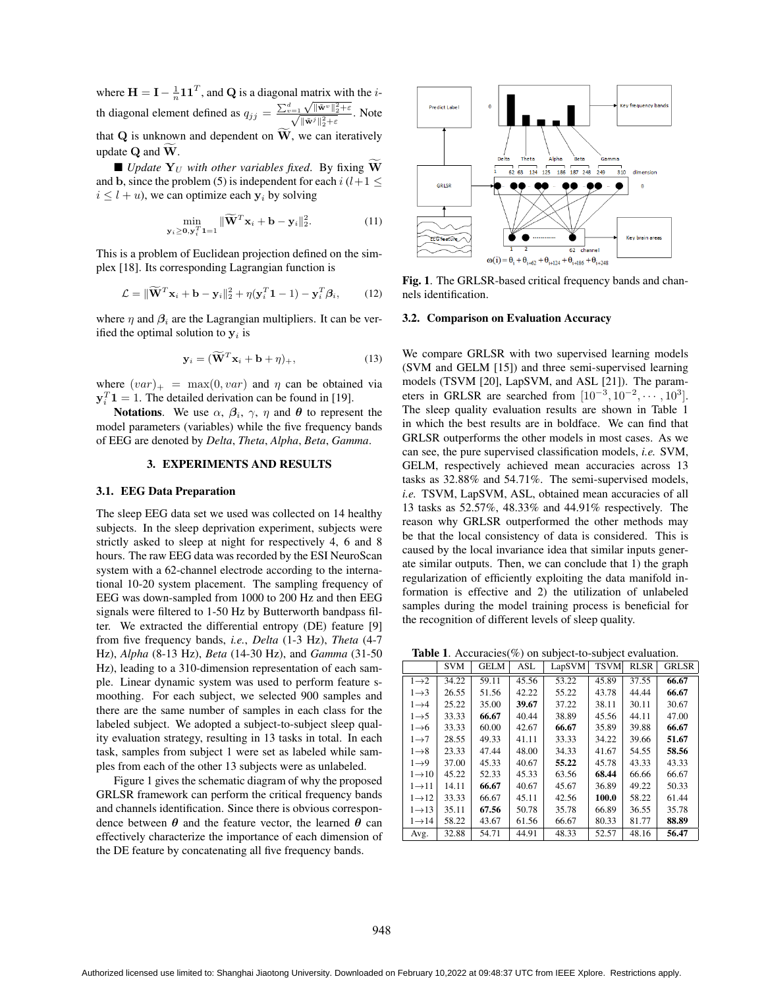where  $H = I - \frac{1}{n} \mathbf{1} \mathbf{1}^T$ , and **Q** is a diagonal matrix with the *i*th diagonal element defined as  $q_{jj} = \frac{\sum_{v=1}^{d} \sqrt{\|\tilde{\mathbf{w}}^{v}\|_{2}^{2} + \varepsilon}}{\sqrt{\|\tilde{\mathbf{w}}^{j}\|_{2}^{2} + \varepsilon}}$ . Note that  $Q$  is unknown and dependent on  $\tilde{W}$ , we can iteratively update **Q** and **W**.

 $\blacksquare$  *Update*  $\mathbf{Y}_{U}$  *with other variables fixed.* By fixing  $\widetilde{\mathbf{W}}$ and **b**, since the problem (5) is independent for each  $i$  ( $l+1$   $\leq$  $i \leq l + u$ , we can optimize each  $y_i$  by solving

$$
\min_{\mathbf{y}_i \ge \mathbf{0}, \mathbf{y}_i^T \mathbf{1} = 1} \|\widetilde{\mathbf{W}}^T \mathbf{x}_i + \mathbf{b} - \mathbf{y}_i\|_2^2.
$$
 (11)

This is a problem of Euclidean projection defined on the simplex [18]. Its corresponding Lagrangian function is

$$
\mathcal{L} = \|\widetilde{\mathbf{W}}^T \mathbf{x}_i + \mathbf{b} - \mathbf{y}_i\|_2^2 + \eta(\mathbf{y}_i^T \mathbf{1} - 1) - \mathbf{y}_i^T \boldsymbol{\beta}_i, \qquad (12)
$$

where  $\eta$  and  $\beta_i$  are the Lagrangian multipliers. It can be verified the optimal solution to  $y_i$  is

$$
\mathbf{y}_i = (\widetilde{\mathbf{W}}^T \mathbf{x}_i + \mathbf{b} + \eta)_+, \tag{13}
$$

where  $(var)_{+}$  = max $(0, var)$  and  $\eta$  can be obtained via  $y_i^T 1 = 1$ . The detailed derivation can be found in [19].

Notations. We use  $\alpha$ ,  $\beta$ <sub>*i*</sub>,  $\gamma$ ,  $\eta$  and  $\theta$  to represent the model parameters (variables) while the five frequency bands of EEG are denoted by *Delta*, *Theta*, *Alpha*, *Beta*, *Gamma*.

## 3. EXPERIMENTS AND RESULTS

#### 3.1. EEG Data Preparation

The sleep EEG data set we used was collected on 14 healthy subjects. In the sleep deprivation experiment, subjects were strictly asked to sleep at night for respectively 4, 6 and 8 hours. The raw EEG data was recorded by the ESI NeuroScan system with a 62-channel electrode according to the international 10-20 system placement. The sampling frequency of EEG was down-sampled from 1000 to 200 Hz and then EEG signals were filtered to 1-50 Hz by Butterworth bandpass filter. We extracted the differential entropy (DE) feature [9] from five frequency bands, *i.e.*, *Delta* (1-3 Hz), *Theta* (4-7 Hz), *Alpha* (8-13 Hz), *Beta* (14-30 Hz), and *Gamma* (31-50 Hz), leading to a 310-dimension representation of each sample. Linear dynamic system was used to perform feature smoothing. For each subject, we selected 900 samples and there are the same number of samples in each class for the labeled subject. We adopted a subject-to-subject sleep quality evaluation strategy, resulting in 13 tasks in total. In each task, samples from subject 1 were set as labeled while samples from each of the other 13 subjects were as unlabeled.

Figure 1 gives the schematic diagram of why the proposed GRLSR framework can perform the critical frequency bands and channels identification. Since there is obvious correspondence between  $\theta$  and the feature vector, the learned  $\theta$  can effectively characterize the importance of each dimension of the DE feature by concatenating all five frequency bands.



Fig. 1. The GRLSR-based critical frequency bands and channels identification.

### 3.2. Comparison on Evaluation Accuracy

We compare GRLSR with two supervised learning models (SVM and GELM [15]) and three semi-supervised learning models (TSVM [20], LapSVM, and ASL [21]). The parameters in GRLSR are searched from  $[10^{-3}, 10^{-2}, \cdots, 10^{3}]$ . The sleep quality evaluation results are shown in Table 1 in which the best results are in boldface. We can find that GRLSR outperforms the other models in most cases. As we can see, the pure supervised classification models, *i.e.* SVM, GELM, respectively achieved mean accuracies across 13 tasks as 32.88% and 54.71%. The semi-supervised models, *i.e.* TSVM, LapSVM, ASL, obtained mean accuracies of all 13 tasks as 52.57%, 48.33% and 44.91% respectively. The reason why GRLSR outperformed the other methods may be that the local consistency of data is considered. This is caused by the local invariance idea that similar inputs generate similar outputs. Then, we can conclude that 1) the graph regularization of efficiently exploiting the data manifold information is effective and 2) the utilization of unlabeled samples during the model training process is beneficial for the recognition of different levels of sleep quality.

Table 1. Accuracies(%) on subject-to-subject evaluation.

|                    | <b>SVM</b> | <b>GELM</b> | <b>ASL</b> | LapSVM | <b>TSVM</b> | <b>RLSR</b> | <b>GRLSR</b> |
|--------------------|------------|-------------|------------|--------|-------------|-------------|--------------|
| $1\rightarrow 2$   | 34.22      | 59.11       | 45.56      | 53.22  | 45.89       | 37.55       | 66.67        |
| $1 \rightarrow 3$  | 26.55      | 51.56       | 42.22      | 55.22  | 43.78       | 44.44       | 66.67        |
| $1\rightarrow 4$   | 25.22      | 35.00       | 39.67      | 37.22  | 38.11       | 30.11       | 30.67        |
| $1 \rightarrow 5$  | 33.33      | 66.67       | 40.44      | 38.89  | 45.56       | 44.11       | 47.00        |
| $1\rightarrow 6$   | 33.33      | 60.00       | 42.67      | 66.67  | 35.89       | 39.88       | 66.67        |
| $1 \rightarrow 7$  | 28.55      | 49.33       | 41.11      | 33.33  | 34.22       | 39.66       | 51.67        |
| $1\rightarrow 8$   | 23.33      | 47.44       | 48.00      | 34.33  | 41.67       | 54.55       | 58.56        |
| $1\rightarrow 9$   | 37.00      | 45.33       | 40.67      | 55.22  | 45.78       | 43.33       | 43.33        |
| $1\rightarrow 10$  | 45.22      | 52.33       | 45.33      | 63.56  | 68.44       | 66.66       | 66.67        |
| $1 \rightarrow 11$ | 14.11      | 66.67       | 40.67      | 45.67  | 36.89       | 49.22       | 50.33        |
| $1 \rightarrow 12$ | 33.33      | 66.67       | 45.11      | 42.56  | 100.0       | 58.22       | 61.44        |
| $1 \rightarrow 13$ | 35.11      | 67.56       | 50.78      | 35.78  | 66.89       | 36.55       | 35.78        |
| $1 \rightarrow 14$ | 58.22      | 43.67       | 61.56      | 66.67  | 80.33       | 81.77       | 88.89        |
| Avg.               | 32.88      | 54.71       | 44.91      | 48.33  | 52.57       | 48.16       | 56.47        |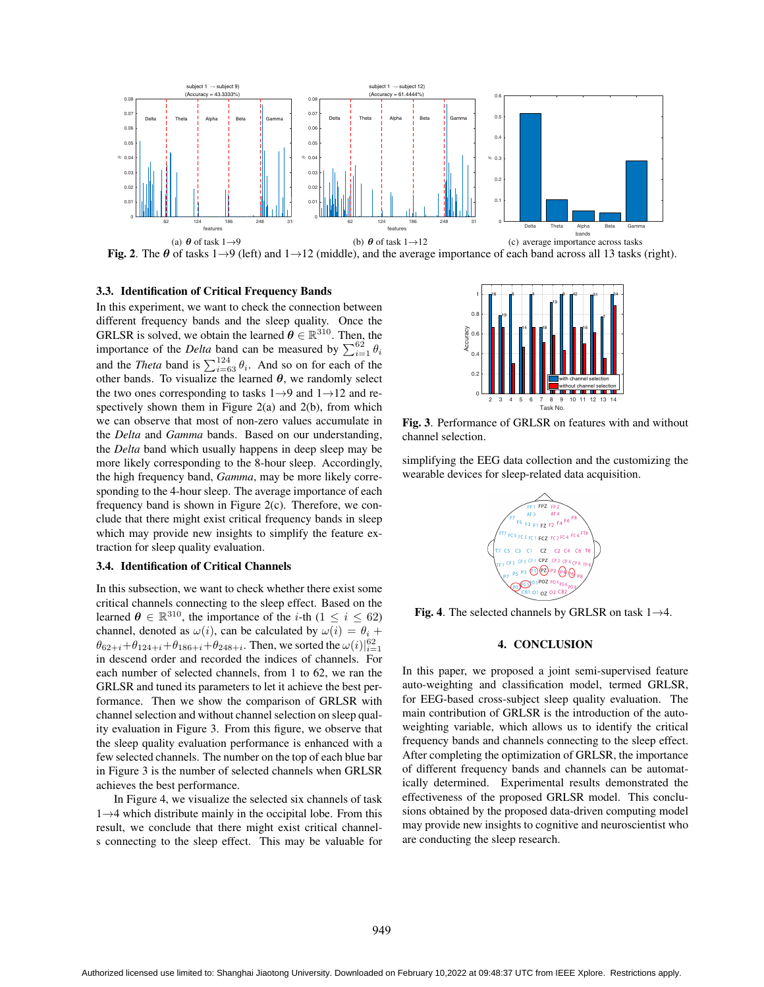

Fig. 2. The *θ* of tasks 1*→*9 (left) and 1*→*12 (middle), and the average importance of each band across all 13 tasks (right).

### 3.3. Identification of Critical Frequency Bands

In this experiment, we want to check the connection between different frequency bands and the sleep quality. Once the GRLSR is solved, we obtain the learned  $\boldsymbol{\theta} \in \mathbb{R}^{310}$ . Then, the importance of the *Delta* band can be measured by  $\sum_{i=1}^{62} \theta_i$ and the *Theta* band is  $\sum_{i=63}^{124} \theta_i$ . And so on for each of the other bands. To visualize the learned  $\theta$ , we randomly select the two ones corresponding to tasks 1*→*9 and 1*→*12 and respectively shown them in Figure  $2(a)$  and  $2(b)$ , from which we can observe that most of non-zero values accumulate in the *Delta* and *Gamma* bands. Based on our understanding, the *Delta* band which usually happens in deep sleep may be more likely corresponding to the 8-hour sleep. Accordingly, the high frequency band, *Gamma*, may be more likely corresponding to the 4-hour sleep. The average importance of each frequency band is shown in Figure 2(c). Therefore, we conclude that there might exist critical frequency bands in sleep which may provide new insights to simplify the feature extraction for sleep quality evaluation.

# 3.4. Identification of Critical Channels

In this subsection, we want to check whether there exist some critical channels connecting to the sleep effect. Based on the learned  $\boldsymbol{\theta} \in \mathbb{R}^{310}$ , the importance of the *i*-th ( $1 \leq i \leq 62$ ) channel, denoted as  $\omega(i)$ , can be calculated by  $\omega(i) = \theta_i + \theta_i$  $\theta_{62+i} + \theta_{124+i} + \theta_{186+i} + \theta_{248+i}$ . Then, we sorted the  $\omega(i)|_{i=1}^{62}$ in descend order and recorded the indices of channels. For each number of selected channels, from 1 to 62, we ran the GRLSR and tuned its parameters to let it achieve the best performance. Then we show the comparison of GRLSR with channel selection and without channel selection on sleep quality evaluation in Figure 3. From this figure, we observe that the sleep quality evaluation performance is enhanced with a few selected channels. The number on the top of each blue bar in Figure 3 is the number of selected channels when GRLSR achieves the best performance.

In Figure 4, we visualize the selected six channels of task 1*→*4 which distribute mainly in the occipital lobe. From this result, we conclude that there might exist critical channels connecting to the sleep effect. This may be valuable for



Fig. 3. Performance of GRLSR on features with and without channel selection.

simplifying the EEG data collection and the customizing the wearable devices for sleep-related data acquisition.



Fig. 4. The selected channels by GRLSR on task 1*→*4.

# 4. CONCLUSION

In this paper, we proposed a joint semi-supervised feature auto-weighting and classification model, termed GRLSR, for EEG-based cross-subject sleep quality evaluation. The main contribution of GRLSR is the introduction of the autoweighting variable, which allows us to identify the critical frequency bands and channels connecting to the sleep effect. After completing the optimization of GRLSR, the importance of different frequency bands and channels can be automatically determined. Experimental results demonstrated the effectiveness of the proposed GRLSR model. This conclusions obtained by the proposed data-driven computing model may provide new insights to cognitive and neuroscientist who are conducting the sleep research.